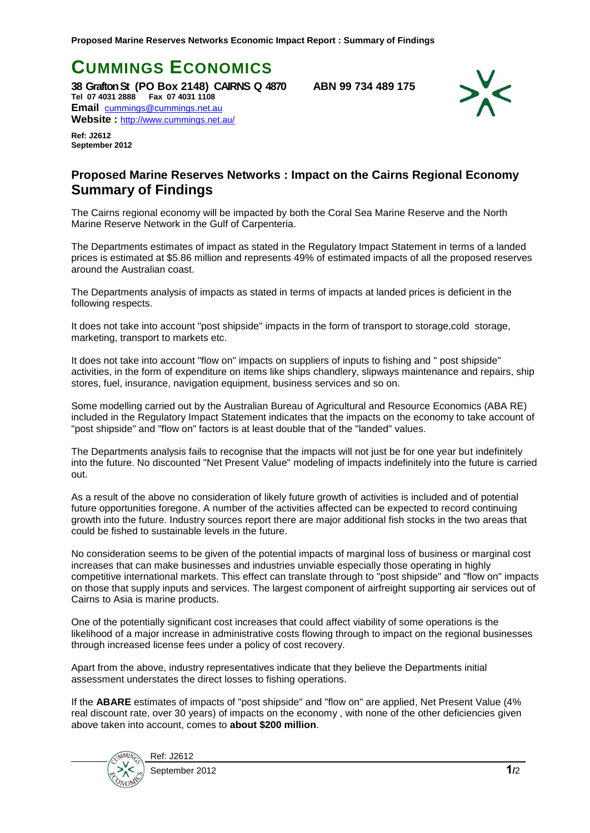**CUMMINGS ECONOMICS** 

**38 Grafton St (PO Box 2148) CAIRNS Q 4870 ABN 99 734 489 175 Tel 07 4031 2888 Fax 07 4031 1108 Email** [cummings@cummings.net.au](mailto:cummings@cummings.net.au) **Website :** <http://www.cummings.net.au/>

**Ref: J2612 September 2012**



## **Proposed Marine Reserves Networks : Impact on the Cairns Regional Economy Summary of Findings**

The Cairns regional economy will be impacted by both the Coral Sea Marine Reserve and the North Marine Reserve Network in the Gulf of Carpenteria.

The Departments estimates of impact as stated in the Regulatory Impact Statement in terms of a landed prices is estimated at \$5.86 million and represents 49% of estimated impacts of all the proposed reserves around the Australian coast.

The Departments analysis of impacts as stated in terms of impacts at landed prices is deficient in the following respects.

It does not take into account "post shipside" impacts in the form of transport to storage,cold storage, marketing, transport to markets etc.

It does not take into account "flow on" impacts on suppliers of inputs to fishing and " post shipside" activities, in the form of expenditure on items like ships chandlery, slipways maintenance and repairs, ship stores, fuel, insurance, navigation equipment, business services and so on.

Some modelling carried out by the Australian Bureau of Agricultural and Resource Economics (ABA RE) included in the Regulatory Impact Statement indicates that the impacts on the economy to take account of "post shipside" and "flow on" factors is at least double that of the "landed" values.

The Departments analysis fails to recognise that the impacts will not just be for one year but indefinitely into the future. No discounted "Net Present Value" modeling of impacts indefinitely into the future is carried out.

As a result of the above no consideration of likely future growth of activities is included and of potential future opportunities foregone. A number of the activities affected can be expected to record continuing growth into the future. Industry sources report there are major additional fish stocks in the two areas that could be fished to sustainable levels in the future.

No consideration seems to be given of the potential impacts of marginal loss of business or marginal cost increases that can make businesses and industries unviable especially those operating in highly competitive international markets. This effect can translate through to "post shipside" and "flow on" impacts on those that supply inputs and services. The largest component of airfreight supporting air services out of Cairns to Asia is marine products.

One of the potentially significant cost increases that could affect viability of some operations is the likelihood of a major increase in administrative costs flowing through to impact on the regional businesses through increased license fees under a policy of cost recovery.

Apart from the above, industry representatives indicate that they believe the Departments initial assessment understates the direct losses to fishing operations.

If the **ABARE** estimates of impacts of "post shipside" and "flow on" are applied, Net Present Value (4% real discount rate, over 30 years) of impacts on the economy , with none of the other deficiencies given above taken into account, comes to **about \$200 million**.